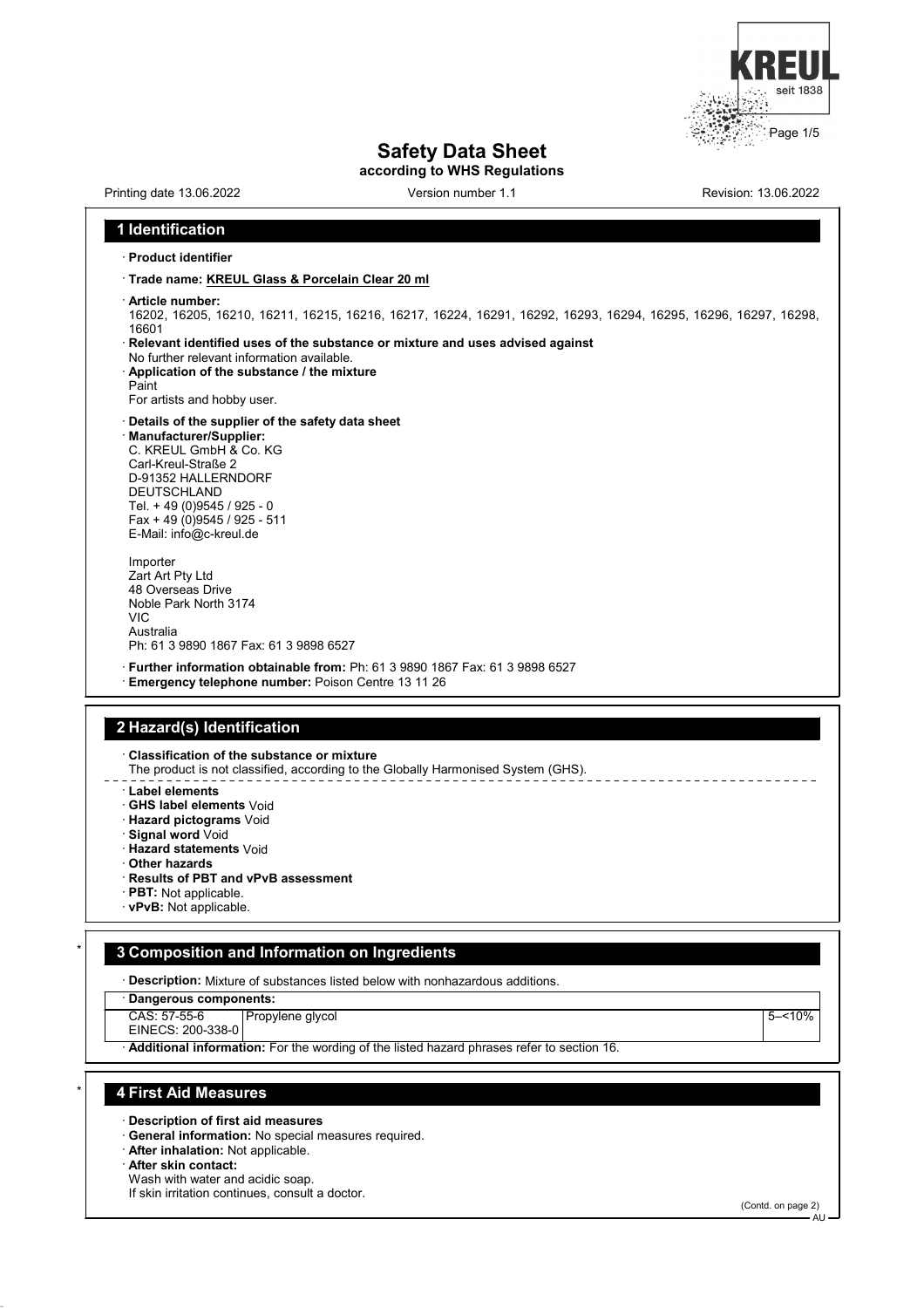

|                                                                                  | <b>Safety Data Sheet</b><br>according to WHS Regulations                                                        |                      |
|----------------------------------------------------------------------------------|-----------------------------------------------------------------------------------------------------------------|----------------------|
| Printing date 13.06.2022                                                         | Version number 1.1                                                                                              | Revision: 13.06.2022 |
| 1 Identification                                                                 |                                                                                                                 |                      |
| $\cdot$ Product identifier                                                       |                                                                                                                 |                      |
| · Trade name: KREUL Glass & Porcelain Clear 20 ml                                |                                                                                                                 |                      |
| · Article number:                                                                |                                                                                                                 |                      |
|                                                                                  | 16202, 16205, 16210, 16211, 16215, 16216, 16217, 16224, 16291, 16292, 16293, 16294, 16295, 16296, 16297, 16298, |                      |
| 16601                                                                            |                                                                                                                 |                      |
| No further relevant information available.                                       | Relevant identified uses of the substance or mixture and uses advised against                                   |                      |
| Application of the substance / the mixture                                       |                                                                                                                 |                      |
| Paint<br>For artists and hobby user.                                             |                                                                                                                 |                      |
| Details of the supplier of the safety data sheet                                 |                                                                                                                 |                      |
| · Manufacturer/Supplier:                                                         |                                                                                                                 |                      |
| C. KREUL GmbH & Co. KG<br>Carl-Kreul-Straße 2                                    |                                                                                                                 |                      |
| D-91352 HALLERNDORF                                                              |                                                                                                                 |                      |
| <b>DEUTSCHLAND</b><br>Tel. + 49 (0) 9545 / 925 - 0                               |                                                                                                                 |                      |
| Fax + 49 (0) 9545 / 925 - 511                                                    |                                                                                                                 |                      |
| E-Mail: info@c-kreul.de                                                          |                                                                                                                 |                      |
| Importer                                                                         |                                                                                                                 |                      |
| Zart Art Pty Ltd<br>48 Overseas Drive                                            |                                                                                                                 |                      |
| Noble Park North 3174                                                            |                                                                                                                 |                      |
| VIC                                                                              |                                                                                                                 |                      |
|                                                                                  |                                                                                                                 |                      |
| Australia                                                                        |                                                                                                                 |                      |
| Ph: 61 3 9890 1867 Fax: 61 3 9898 6527                                           |                                                                                                                 |                      |
| Emergency telephone number: Poison Centre 13 11 26                               | · Further information obtainable from: Ph: 61 3 9890 1867 Fax: 61 3 9898 6527                                   |                      |
|                                                                                  |                                                                                                                 |                      |
|                                                                                  |                                                                                                                 |                      |
|                                                                                  |                                                                                                                 |                      |
| Classification of the substance or mixture                                       | The product is not classified, according to the Globally Harmonised System (GHS).                               |                      |
| $\cdot$ Label elements                                                           |                                                                                                                 |                      |
| · GHS label elements Void                                                        |                                                                                                                 |                      |
| ∙ Hazard pictograms Void                                                         |                                                                                                                 |                      |
| 2 Hazard(s) Identification<br>Signal word Void<br><b>Hazard statements Void</b>  |                                                                                                                 |                      |
| <b>Other hazards</b>                                                             |                                                                                                                 |                      |
| Results of PBT and vPvB assessment<br>· <b>PBT:</b> Not applicable.              |                                                                                                                 |                      |
| vPvB: Not applicable.                                                            |                                                                                                                 |                      |
|                                                                                  |                                                                                                                 |                      |
|                                                                                  |                                                                                                                 |                      |
|                                                                                  | · Description: Mixture of substances listed below with nonhazardous additions.                                  |                      |
| Dangerous components:                                                            |                                                                                                                 |                      |
| 3 Composition and Information on Ingredients<br>CAS: 57-55-6<br>Propylene glycol |                                                                                                                 | $5 - 10%$            |
| EINECS: 200-338-0                                                                | Additional information: For the wording of the listed hazard phrases refer to section 16.                       |                      |

· **Description of first aid measures**

· **General information:** No special measures required.

· **After inhalation:** Not applicable.

· **After skin contact:**

Wash with water and acidic soap. If skin irritation continues, consult a doctor.

(Contd. on page 2)

AU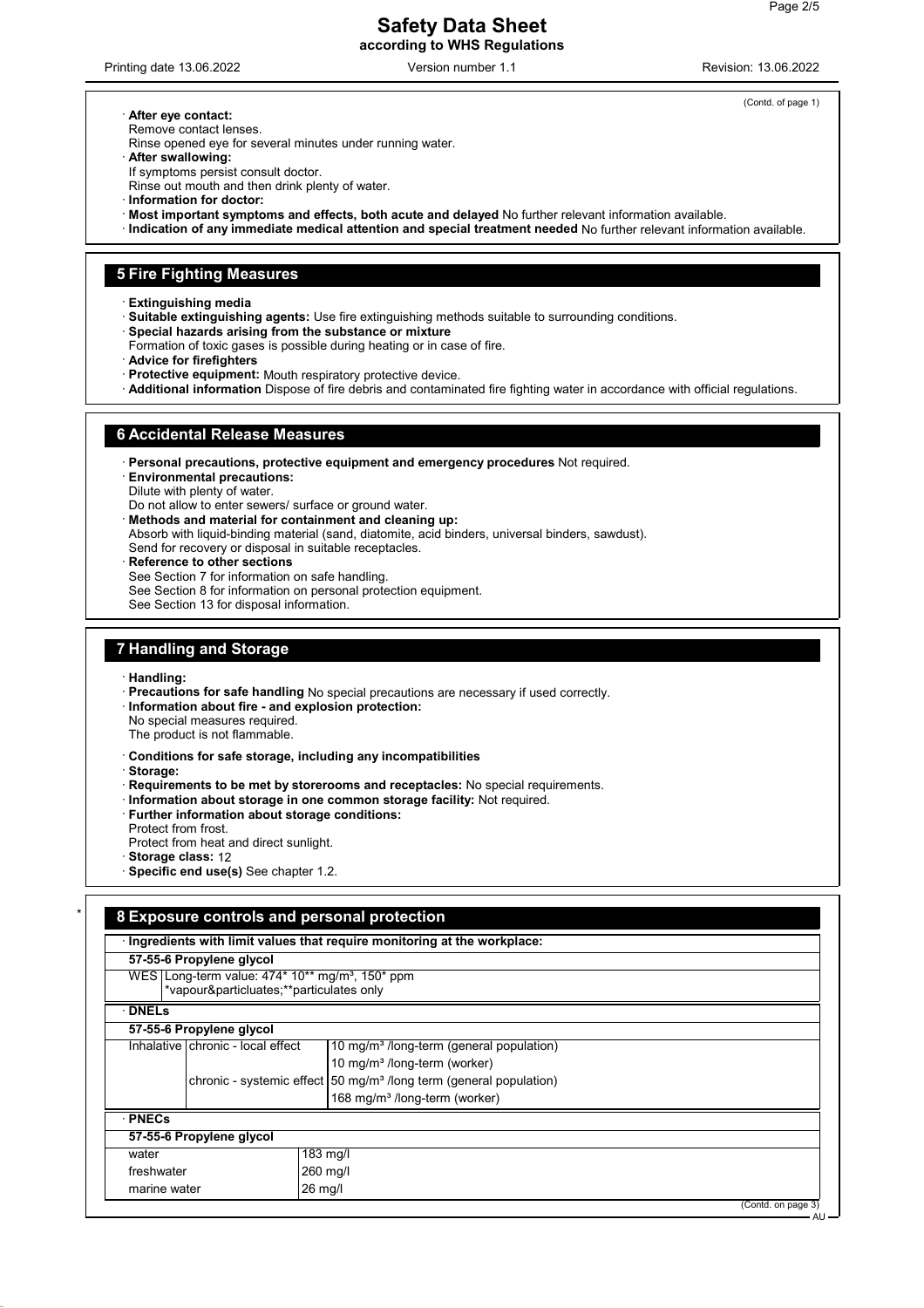### **Safety Data Sheet according to WHS Regulations**

Printing date 13.06.2022 **Version number 1.1** Nevision: 13.06.2022 Revision: 13.06.2022

(Contd. of page 1)

#### · **After eye contact:**

Remove contact lenses.

Rinse opened eye for several minutes under running water.

· **After swallowing:**

If symptoms persist consult doctor.

- Rinse out mouth and then drink plenty of water.
- · **Information for doctor:**
- · **Most important symptoms and effects, both acute and delayed** No further relevant information available.
- · **Indication of any immediate medical attention and special treatment needed** No further relevant information available.

#### **5 Fire Fighting Measures**

· **Extinguishing media**

- · **Suitable extinguishing agents:** Use fire extinguishing methods suitable to surrounding conditions.
- · **Special hazards arising from the substance or mixture**
- Formation of toxic gases is possible during heating or in case of fire.
- · **Advice for firefighters**
- Protective equipment: Mouth respiratory protective device.
- · **Additional information** Dispose of fire debris and contaminated fire fighting water in accordance with official regulations.

#### **6 Accidental Release Measures**

· **Personal precautions, protective equipment and emergency procedures** Not required.

· **Environmental precautions:**

Dilute with plenty of water.

Do not allow to enter sewers/ surface or ground water.

· **Methods and material for containment and cleaning up:**

- Absorb with liquid-binding material (sand, diatomite, acid binders, universal binders, sawdust).
- Send for recovery or disposal in suitable receptacles.
- **Reference to other sections**
- See Section 7 for information on safe handling.

See Section 8 for information on personal protection equipment.

See Section 13 for disposal information.

# **7 Handling and Storage**

- · **Handling:**
- · **Precautions for safe handling** No special precautions are necessary if used correctly.
- · **Information about fire and explosion protection:**
- No special measures required.
- The product is not flammable.
- · **Conditions for safe storage, including any incompatibilities**

· **Storage:**

- · **Requirements to be met by storerooms and receptacles:** No special requirements.
- · **Information about storage in one common storage facility:** Not required.
- · **Further information about storage conditions:**
- Protect from frost.
- Protect from heat and direct sunlight.
- · **Storage class:** 12
- · **Specific end use(s)** See chapter 1.2.

# \* **8 Exposure controls and personal protection**

| 57-55-6 Propylene glycol |                                         |                                                                                |                    |
|--------------------------|-----------------------------------------|--------------------------------------------------------------------------------|--------------------|
|                          | *vapour&particluates**particulates only | WES Long-term value: $474*10**$ mg/m <sup>3</sup> , 150* ppm                   |                    |
| <b>DNELS</b>             |                                         |                                                                                |                    |
|                          | 57-55-6 Propylene glycol                |                                                                                |                    |
|                          | Inhalative   chronic - local effect     | 10 mg/m <sup>3</sup> /long-term (general population)                           |                    |
|                          |                                         | 10 mg/m <sup>3</sup> /long-term (worker)                                       |                    |
|                          |                                         | chronic - systemic effect 50 mg/m <sup>3</sup> /long term (general population) |                    |
|                          |                                         | 168 mg/m <sup>3</sup> /long-term (worker)                                      |                    |
| · PNECs                  |                                         |                                                                                |                    |
|                          | 57-55-6 Propylene glycol                |                                                                                |                    |
| water                    |                                         | $183 \text{ mg/l}$                                                             |                    |
| freshwater               |                                         | 260 mg/l                                                                       |                    |
| marine water             |                                         | $26$ mg/l                                                                      |                    |
|                          |                                         |                                                                                | (Contd. on page 3) |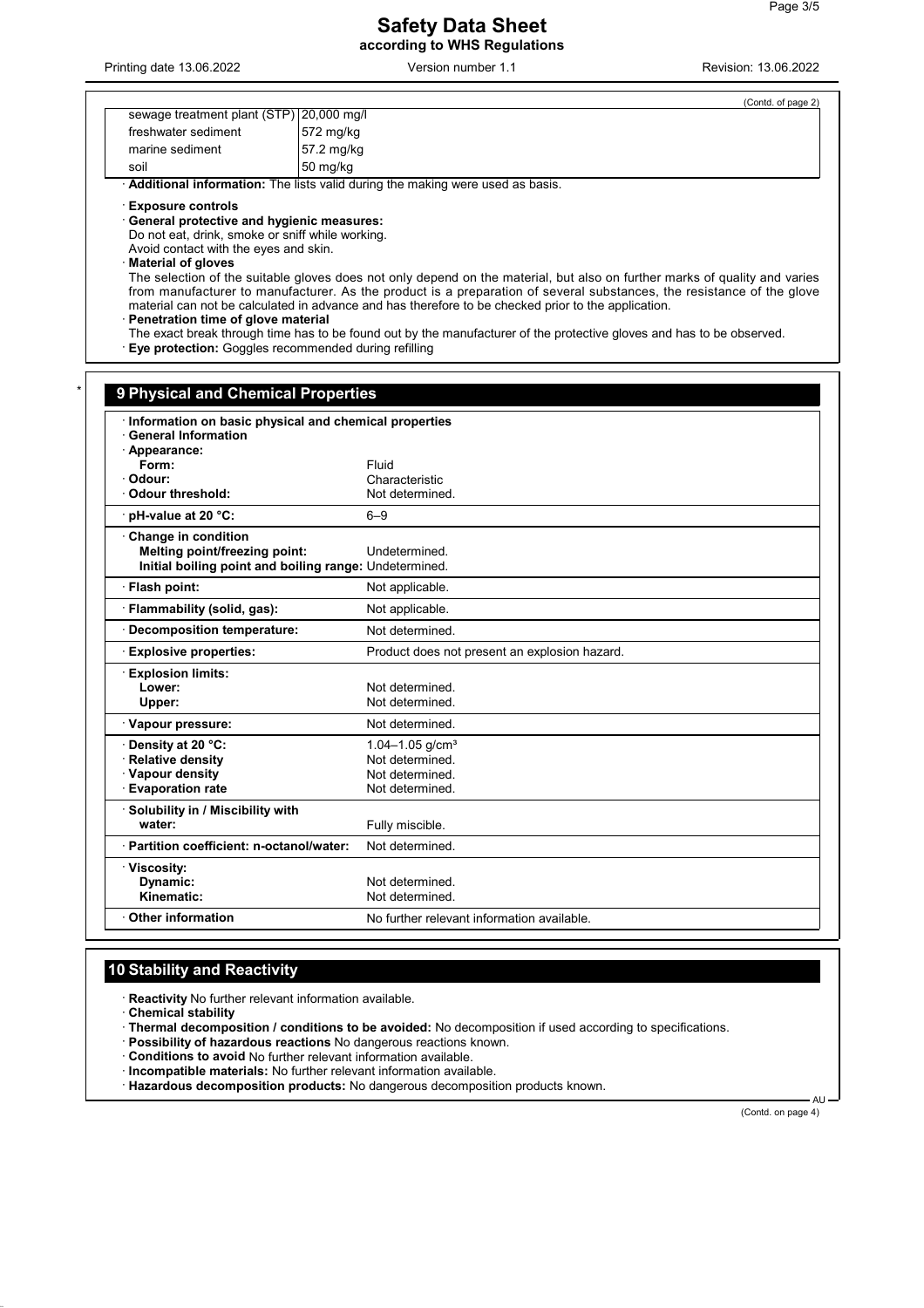### **Safety Data Sheet according to WHS Regulations**

Printing date 13.06.2022 Version number 1.1 Revision: 13.06.2022

(Contd. of page 2)

| sewage treatment plant (STP) 20,000 mg/l |                       |
|------------------------------------------|-----------------------|
| freshwater sediment                      | $ 572 \text{ mg/kg} $ |
| marine sediment                          | 57.2 mg/kg            |
| soil                                     | $ 50 \text{ mg/kg} $  |

· **Additional information:** The lists valid during the making were used as basis.

· **Exposure controls**

· **General protective and hygienic measures:**

Do not eat, drink, smoke or sniff while working.

Avoid contact with the eyes and skin.

· **Material of gloves**

The selection of the suitable gloves does not only depend on the material, but also on further marks of quality and varies from manufacturer to manufacturer. As the product is a preparation of several substances, the resistance of the glove material can not be calculated in advance and has therefore to be checked prior to the application.

· **Penetration time of glove material**

The exact break through time has to be found out by the manufacturer of the protective gloves and has to be observed.

· **Eye protection:** Goggles recommended during refilling

| Information on basic physical and chemical properties  |                                               |  |
|--------------------------------------------------------|-----------------------------------------------|--|
| <b>General Information</b>                             |                                               |  |
| · Appearance:                                          |                                               |  |
| Form:                                                  | Fluid                                         |  |
| · Odour:                                               | Characteristic                                |  |
| <b>Odour threshold:</b>                                | Not determined.                               |  |
| pH-value at 20 °C:                                     | $6 - 9$                                       |  |
| Change in condition                                    |                                               |  |
| Melting point/freezing point:                          | Undetermined.                                 |  |
| Initial boiling point and boiling range: Undetermined. |                                               |  |
| · Flash point:                                         | Not applicable.                               |  |
| · Flammability (solid, gas):                           | Not applicable.                               |  |
| <b>Decomposition temperature:</b>                      | Not determined.                               |  |
| <b>Explosive properties:</b>                           | Product does not present an explosion hazard. |  |
| <b>Explosion limits:</b>                               |                                               |  |
| Lower:                                                 | Not determined.                               |  |
| Upper:                                                 | Not determined.                               |  |
| · Vapour pressure:                                     | Not determined.                               |  |
| Density at 20 °C:                                      | $1.04 - 1.05$ g/cm <sup>3</sup>               |  |
| · Relative density                                     | Not determined.                               |  |
| · Vapour density                                       | Not determined.                               |  |
| <b>Evaporation rate</b>                                | Not determined.                               |  |
| · Solubility in / Miscibility with                     |                                               |  |
| water:                                                 | Fully miscible.                               |  |
| · Partition coefficient: n-octanol/water:              | Not determined.                               |  |
| · Viscosity:                                           |                                               |  |
| Dynamic:                                               | Not determined.                               |  |
| Kinematic:                                             | Not determined.                               |  |

# **10 Stability and Reactivity**

· **Reactivity** No further relevant information available.

· **Chemical stability**

· **Thermal decomposition / conditions to be avoided:** No decomposition if used according to specifications.

· **Possibility of hazardous reactions** No dangerous reactions known.

· **Conditions to avoid** No further relevant information available.

· **Incompatible materials:** No further relevant information available.

· **Hazardous decomposition products:** No dangerous decomposition products known.

(Contd. on page 4)

AU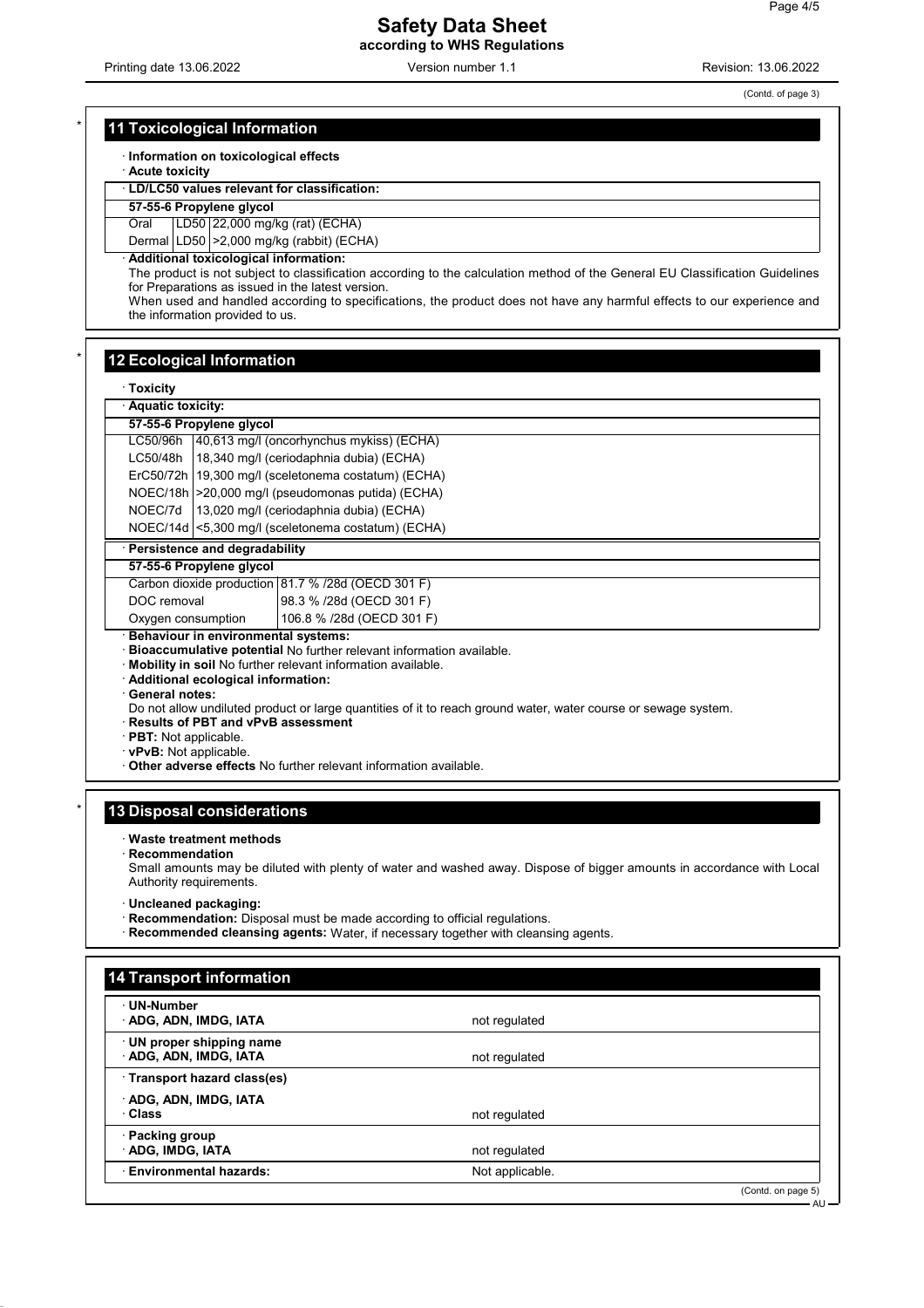Printing date 13.06.2022 Version number 1.1 Revision: 13.06.2022

(Contd. of page 3)

## **11 Toxicological Information**

· **Information on toxicological effects**

· **Acute toxicity**

· **LD/LC50 values relevant for classification:**

**57-55-6 Propylene glycol**

Oral LD50 22,000 mg/kg (rat) (ECHA)

Dermal LD50 > 2,000 mg/kg (rabbit) (ECHA)

· **Additional toxicological information:**

The product is not subject to classification according to the calculation method of the General EU Classification Guidelines for Preparations as issued in the latest version.

When used and handled according to specifications, the product does not have any harmful effects to our experience and the information provided to us.

## **12 Ecological Information**

· **Toxicity**

| · Aquatic toxicity:                                                  |                                                       |  |  |
|----------------------------------------------------------------------|-------------------------------------------------------|--|--|
| 57-55-6 Propylene glycol                                             |                                                       |  |  |
|                                                                      | LC50/96h 40,613 mg/l (oncorhynchus mykiss) (ECHA)     |  |  |
|                                                                      | LC50/48h   18,340 mg/l (ceriodaphnia dubia) (ECHA)    |  |  |
|                                                                      | ErC50/72h   19,300 mg/l (sceletonema costatum) (ECHA) |  |  |
|                                                                      | NOEC/18h   > 20,000 mg/l (pseudomonas putida) (ECHA)  |  |  |
|                                                                      | NOEC/7d   13,020 mg/l (ceriodaphnia dubia) (ECHA)     |  |  |
| NOEC/14d <5,300 mg/l (sceletonema costatum) (ECHA)                   |                                                       |  |  |
| · Persistence and degradability                                      |                                                       |  |  |
| 57-55-6 Propylene glycol                                             |                                                       |  |  |
|                                                                      | Carbon dioxide production 81.7 % /28d (OECD 301 F)    |  |  |
| DOC removal                                                          | 98.3 % /28d (OECD 301 F)                              |  |  |
| Oxygen consumption                                                   | 106.8 % /28d (OECD 301 F)                             |  |  |
| Behaviour in environmental systems:                                  |                                                       |  |  |
| Bioaccumulative potential No further relevant information available. |                                                       |  |  |
| Mobility in soil No further relevant information available.          |                                                       |  |  |

· **Additional ecological information:**

· **General notes:**

Do not allow undiluted product or large quantities of it to reach ground water, water course or sewage system.

· **Results of PBT and vPvB assessment**

· **PBT:** Not applicable.

· **vPvB:** Not applicable.

· **Other adverse effects** No further relevant information available.

### **13 Disposal considerations**

· **Waste treatment methods**

· **Recommendation**

Small amounts may be diluted with plenty of water and washed away. Dispose of bigger amounts in accordance with Local Authority requirements.

· **Uncleaned packaging:**

· **Recommendation:** Disposal must be made according to official regulations.

· **Recommended cleansing agents:** Water, if necessary together with cleansing agents.

| 14 Transport information                        |                 |                    |
|-------------------------------------------------|-----------------|--------------------|
| UN-Number<br>ADG, ADN, IMDG, IATA               | not regulated   |                    |
| UN proper shipping name<br>ADG, ADN, IMDG, IATA | not regulated   |                    |
| Transport hazard class(es)                      |                 |                    |
| ADG, ADN, IMDG, IATA<br>· Class                 | not regulated   |                    |
| · Packing group<br><b>ADG, IMDG, IATA</b>       | not regulated   |                    |
| <b>Environmental hazards:</b>                   | Not applicable. |                    |
|                                                 |                 | (Contd. on page 5) |

AU